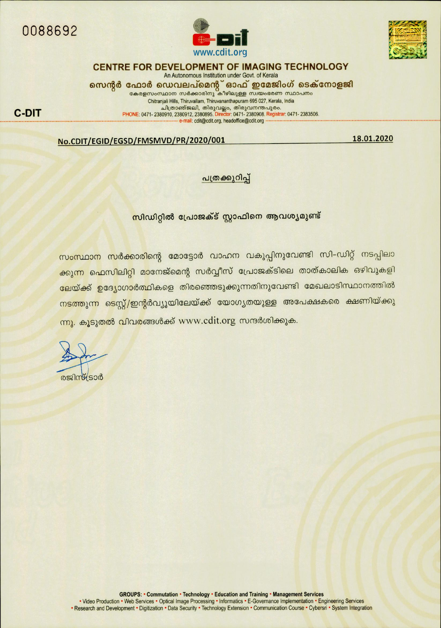

**C-DIT** 





## CENTRE FOR DEVELOPMENT OF IMAGING TECHNOLOGY

An Autonomous Institution under Govt. of Kerala സെന്റർ ഫോർ ഡെവലപ്മെന്റ് ഓഫ് ഇമേജിംഗ് ടെക്നോളജി<br>കേരളസംസ്ഥാന സർക്കാരിനു കീഴിലുള്ള സയംഭരണ സ്ഥാപനം

Chitranjali Hills, Thiruvallam, Thiruvananthapuram 695 027, Kerala, India - ചിത്രാഞ്ജലി, തിരുവല്ലാ, തിരുവനന്തപുരം.<br>PHONE: 0471- 2380910, 2380912, 23809895. Director: 0471- 2380908. Registrar: 0471- 2383506. e-mail: cdit@cdit.org, headoffice@cdit.org

18.01.2020

#### No.CDIT/EGID/EGSD/FMSMVD/PR/2020/001

#### പത്രക്കുറിപ്പ്

സിഡിറ്റിൽ പ്രോജക്ട് സ്റ്റാഫിനെ ആവശ്യമുണ്ട്

<mark>സംസ്ഥാന സർക്കാരിന്റെ മോട്ടോർ വാഹന വകുപ്പിനുവേണ്ടി സി–ഡിറ്റ് നടപ്പിലാ</mark> ക്കുന്ന ഫെസിലിറ്റി മാനേജ്മെന്റ സർവ്വീസ് പ്രോജക്ടിലെ താത്കാലിക ഒഴിവുകളി ലേയ്ക്ക് ഉദ്യോഗാർത്ഥികളെ തിരഞ്ഞെടുക്കുന്നതിനുവേണ്ടി മേഖലാടിസ്ഥാനത്തിൽ <mark>നടത്തുന്ന ടെസ്റ്റ്/ഇന്റ</mark>ർവ്യൂയിലേയ്ക്ക് യോഗൃതയുള്ള അപേക്ഷകരെ ക്ഷണിയ്ക്കു ന്നു. കൂടുതൽ വിവരങ്ങൾക്ക് www.cdit.org സന്ദർശിക്കുക.

രജിസ്കട്ടാർ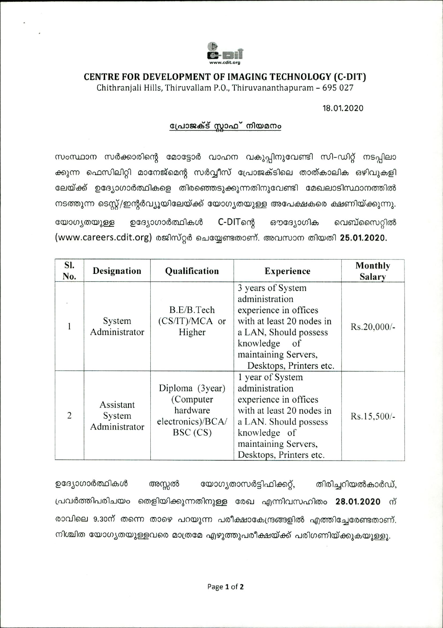

# CENTRE FOR DEVELOPMENT OF IMAGING TECHNOLOGY (C-DIT)

Chithranjali Hills, Thiruvallam P.O., Thiruvananthapuram - 695 027

### 18.01.2020

# പ്രോജക്ട് സ്റ്റാഫ് നിയമനം

സംസ്ഥാന സർക്കാരിന്റെ മോട്ടോർ വാഹന വകുപ്പിനുവേണ്ടി സി–ഡിറ്റ് നടപ്പിലാ ക്കുന്ന ഫെസിലിറ്റി മാനേജ്മെന്റ സർവ്വീസ് പ്രോജക്ടിലെ താത്കാലിക ഒഴിവുകളി ലേയ്ക്ക് ഉദ്യോഗാർത്ഥികളെ തിരഞ്ഞെടുക്കുന്നതിനുവേണ്ടി മേഖലാടിസ്ഥാനത്തിൽ നടത്തുന്ന ടെസ്റ്റ്/ഇന്റർവ്യൂയിലേയ്ക്ക് യോഗ്യതയുള്ള അപേക്ഷകരെ ക്ഷണിയ്ക്കുന്നു. C-DITளை യോഗ്യതയുള്ള ഉദ്യോഗാർത്ഥികൾ ഔദ്യോഗിക വെബ്സൈറ്റിൽ (www.careers.cdit.org) രജിസ്റ്റർ ചെയ്യേണ്ടതാണ്. അവസാന തിയതി 25.01.2020.

| SI.<br>No.     | Designation                          | Qualification                                                              | <b>Experience</b>                                                                                                                                                                        | <b>Monthly</b><br><b>Salary</b> |
|----------------|--------------------------------------|----------------------------------------------------------------------------|------------------------------------------------------------------------------------------------------------------------------------------------------------------------------------------|---------------------------------|
|                | System<br>Administrator              | B.E/B.Tech<br>$(CS/IT)/MCA$ or<br>Higher                                   | 3 years of System<br>administration<br>experience in offices<br>with at least 20 nodes in<br>a LAN, Should possess<br>knowledge<br>of<br>maintaining Servers,<br>Desktops, Printers etc. | Rs.20,000/-                     |
| $\overline{2}$ | Assistant<br>System<br>Administrator | Diploma (3year)<br>(Computer)<br>hardware<br>electronics)/BCA/<br>BSC (CS) | 1 year of System<br>administration<br>experience in offices<br>with at least 20 nodes in<br>a LAN. Should possess<br>knowledge of<br>maintaining Servers,<br>Desktops, Printers etc.     | Rs.15,500/-                     |

ഉദ്യോഗാർത്ഥികൾ യോഗ്യതാസർട്ടിഫിക്കറ്റ്, അസ്സൽ തിരിച്ചറിയൽകാർഡ്, പ്രവർത്തിപരിചയം തെളിയിക്കുന്നതിനുള്ള രേഖ എന്നിവസഹിതം 28.01.2020 ന് രാവിലെ 9.30ന് തന്നെ താഴെ പറയുന്ന പരീക്ഷാകേന്ദ്രങ്ങളിൽ എത്തിച്ചേരേണ്ടതാണ്. നിശ്ചിത യോഗ്യതയുള്ളവരെ മാത്രമേ എഴുത്തുപരീക്ഷയ്ക്ക് പരിഗണിയ്ക്കുകയുള്ളൂ.